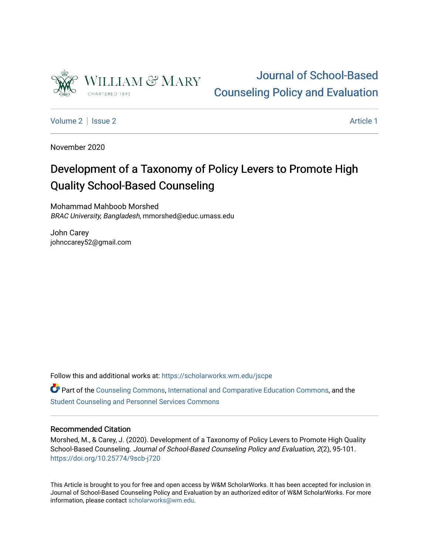

# [Journal of School-Based](https://scholarworks.wm.edu/jscpe)  [Counseling Policy and Evaluation](https://scholarworks.wm.edu/jscpe)

[Volume 2](https://scholarworks.wm.edu/jscpe/vol2) | [Issue 2](https://scholarworks.wm.edu/jscpe/vol2/iss2) Article 1

November 2020

# Development of a Taxonomy of Policy Levers to Promote High Quality School-Based Counseling

Mohammad Mahboob Morshed BRAC University, Bangladesh, mmorshed@educ.umass.edu

John Carey johnccarey52@gmail.com

Follow this and additional works at: [https://scholarworks.wm.edu/jscpe](https://scholarworks.wm.edu/jscpe?utm_source=scholarworks.wm.edu%2Fjscpe%2Fvol2%2Fiss2%2F1&utm_medium=PDF&utm_campaign=PDFCoverPages) 

Part of the [Counseling Commons,](http://network.bepress.com/hgg/discipline/1268?utm_source=scholarworks.wm.edu%2Fjscpe%2Fvol2%2Fiss2%2F1&utm_medium=PDF&utm_campaign=PDFCoverPages) [International and Comparative Education Commons](http://network.bepress.com/hgg/discipline/797?utm_source=scholarworks.wm.edu%2Fjscpe%2Fvol2%2Fiss2%2F1&utm_medium=PDF&utm_campaign=PDFCoverPages), and the [Student Counseling and Personnel Services Commons](http://network.bepress.com/hgg/discipline/802?utm_source=scholarworks.wm.edu%2Fjscpe%2Fvol2%2Fiss2%2F1&utm_medium=PDF&utm_campaign=PDFCoverPages)

# Recommended Citation

Morshed, M., & Carey, J. (2020). Development of a Taxonomy of Policy Levers to Promote High Quality School-Based Counseling. Journal of School-Based Counseling Policy and Evaluation, 2(2), 95-101. <https://doi.org/10.25774/9scb-j720>

This Article is brought to you for free and open access by W&M ScholarWorks. It has been accepted for inclusion in Journal of School-Based Counseling Policy and Evaluation by an authorized editor of W&M ScholarWorks. For more information, please contact [scholarworks@wm.edu](mailto:scholarworks@wm.edu).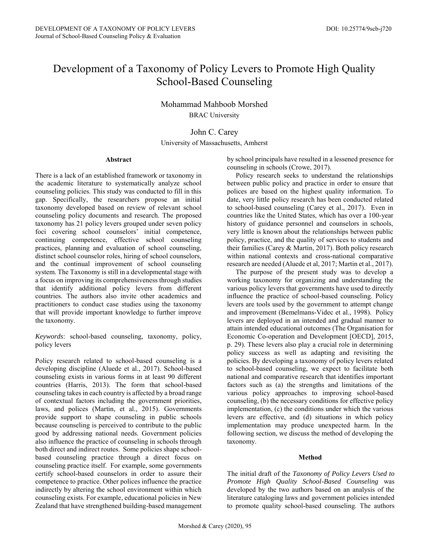# Development of a Taxonomy of Policy Levers to Promote High Quality School-Based Counseling

Mohammad Mahboob Morshed BRAC University

John C. Carey University of Massachusetts, Amherst

#### **Abstract**

There is a lack of an established framework or taxonomy in the academic literature to systematically analyze school counseling policies. This study was conducted to fill in this gap. Specifically, the researchers propose an initial taxonomy developed based on review of relevant school counseling policy documents and research. The proposed taxonomy has 21 policy levers grouped under seven policy foci covering school counselors' initial competence, continuing competence, effective school counseling practices, planning and evaluation of school counseling, distinct school counselor roles, hiring of school counselors, and the continual improvement of school counseling system. The Taxonomy is still in a developmental stage with a focus on improving its comprehensiveness through studies that identify additional policy levers from different countries. The authors also invite other academics and practitioners to conduct case studies using the taxonomy that will provide important knowledge to further improve the taxonomy.

*Keywords*: school-based counseling, taxonomy, policy, policy levers

Policy research related to school-based counseling is a developing discipline (Aluede et al., 2017). School-based counseling exists in various forms in at least 90 different countries (Harris, 2013). The form that school-based counseling takes in each country is affected by a broad range of contextual factors including the government priorities, laws, and polices (Martin, et al., 2015). Governments provide support to shape counseling in public schools because counseling is perceived to contribute to the public good by addressing national needs. Government policies also influence the practice of counseling in schools through both direct and indirect routes. Some policies shape schoolbased counseling practice through a direct focus on counseling practice itself. For example, some governments certify school-based counselors in order to assure their competence to practice. Other polices influence the practice indirectly by altering the school environment within which counseling exists. For example, educational policies in New Zealand that have strengthened building-based management by school principals have resulted in a lessened presence for counseling in schools (Crowe, 2017).

 Policy research seeks to understand the relationships between public policy and practice in order to ensure that polices are based on the highest quality information. To date, very little policy research has been conducted related to school-based counseling (Carey et al., 2017). Even in countries like the United States, which has over a 100-year history of guidance personnel and counselors in schools, very little is known about the relationships between public policy, practice, and the quality of services to students and their families (Carey & Martin, 2017). Both policy research within national contexts and cross-national comparative research are needed (Aluede et al, 2017; Martin et al., 2017).

 The purpose of the present study was to develop a working taxonomy for organizing and understanding the various policy levers that governments have used to directly influence the practice of school-based counseling. Policy levers are tools used by the government to attempt change and improvement (Bemelmans-Videc et al., 1998). Policy levers are deployed in an intended and gradual manner to attain intended educational outcomes (The Organisation for Economic Co-operation and Development [OECD], 2015, p. 29). These levers also play a crucial role in determining policy success as well as adapting and revisiting the policies. By developing a taxonomy of policy levers related to school-based counseling, we expect to facilitate both national and comparative research that identifies important factors such as (a) the strengths and limitations of the various policy approaches to improving school-based counseling, (b) the necessary conditions for effective policy implementation, (c) the conditions under which the various levers are effective, and (d) situations in which policy implementation may produce unexpected harm. In the following section, we discuss the method of developing the taxonomy.

#### **Method**

The initial draft of the *Taxonomy of Policy Levers Used to Promote High Quality School-Based Counseling* was developed by the two authors based on an analysis of the literature cataloging laws and government policies intended to promote quality school-based counseling. The authors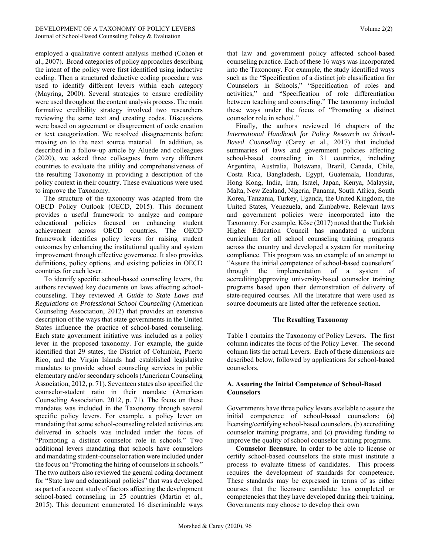employed a qualitative content analysis method (Cohen et al., 2007). Broad categories of policy approaches describing the intent of the policy were first identified using inductive coding. Then a structured deductive coding procedure was used to identify different levers within each category (Mayring, 2000). Several strategies to ensure credibility were used throughout the content analysis process. The main formative credibility strategy involved two researchers reviewing the same text and creating codes. Discussions were based on agreement or disagreement of code creation or text categorization. We resolved disagreements before moving on to the next source material. In addition, as described in a follow-up article by Aluede and colleagues (2020), we asked three colleagues from very different countries to evaluate the utility and comprehensiveness of the resulting Taxonomy in providing a description of the policy context in their country. These evaluations were used to improve the Taxonomy.

 The structure of the taxonomy was adapted from the OECD Policy Outlook (OECD, 2015). This document provides a useful framework to analyze and compare educational policies focused on enhancing student achievement across OECD countries. The OECD framework identifies policy levers for raising student outcomes by enhancing the institutional quality and system improvement through effective governance. It also provides definitions, policy options, and existing policies in OECD countries for each lever.

 To identify specific school-based counseling levers, the authors reviewed key documents on laws affecting schoolcounseling. They reviewed *A Guide to State Laws and Regulations on Professional School Counseling* (American Counseling Association, 2012) that provides an extensive description of the ways that state governments in the United States influence the practice of school-based counseling. Each state government initiative was included as a policy lever in the proposed taxonomy. For example, the guide identified that 29 states, the District of Columbia, Puerto Rico, and the Virgin Islands had established legislative mandates to provide school counseling services in public elementary and/or secondary schools (American Counseling Association, 2012, p. 71). Seventeen states also specified the counselor-student ratio in their mandate (American Counseling Association, 2012, p. 71). The focus on these mandates was included in the Taxonomy through several specific policy levers. For example, a policy lever on mandating that some school-counseling related activities are delivered in schools was included under the focus of "Promoting a distinct counselor role in schools." Two additional levers mandating that schools have counselors and mandating student-counselor ration were included under the focus on "Promoting the hiring of counselors in schools." The two authors also reviewed the general coding document for "State law and educational policies" that was developed as part of a recent study of factors affecting the development school-based counseling in 25 countries (Martin et al., 2015). This document enumerated 16 discriminable ways that law and government policy affected school-based counseling practice. Each of these 16 ways was incorporated into the Taxonomy. For example, the study identified ways such as the "Specification of a distinct job classification for Counselors in Schools," "Specification of roles and activities," and "Specification of role differentiation between teaching and counseling." The taxonomy included these ways under the focus of "Promoting a distinct counselor role in school."

 Finally, the authors reviewed 16 chapters of the *International Handbook for Policy Research on School-Based Counseling* (Carey et al., 2017) that included summaries of laws and government policies affecting school-based counseling in 31 countries, including Argentina, Australia, Botswana, Brazil, Canada, Chile, Costa Rica, Bangladesh, Egypt, Guatemala, Honduras, Hong Kong, India, Iran, Israel, Japan, Kenya, Malaysia, Malta, New Zealand, Nigeria, Panama, South Africa, South Korea, Tanzania, Turkey, Uganda, the United Kingdom, the United States, Venezuela, and Zimbabwe. Relevant laws and government policies were incorporated into the Taxonomy. For example, Köse (2017) noted that the Turkish Higher Education Council has mandated a uniform curriculum for all school counseling training programs across the country and developed a system for monitoring compliance. This program was an example of an attempt to "Assure the initial competence of school-based counselors" through the implementation of a system of accrediting/approving university-based counselor training programs based upon their demonstration of delivery of state-required courses. All the literature that were used as source documents are listed after the reference section.

# **The Resulting Taxonomy**

Table 1 contains the Taxonomy of Policy Levers. The first column indicates the focus of the Policy Lever. The second column lists the actual Levers. Each of these dimensions are described below, followed by applications for school-based counselors.

#### **A. Assuring the Initial Competence of School-Based Counselors**

Governments have three policy levers available to assure the initial competence of school-based counselors: (a) licensing/certifying school-based counselors, (b) accrediting counselor training programs, and (c) providing funding to improve the quality of school counselor training programs.

 **Counselor licensure***.* In order to be able to license or certify school-based counselors the state must institute a process to evaluate fitness of candidates. This process requires the development of standards for competence. These standards may be expressed in terms of as either courses that the licensure candidate has completed or competencies that they have developed during their training. Governments may choose to develop their own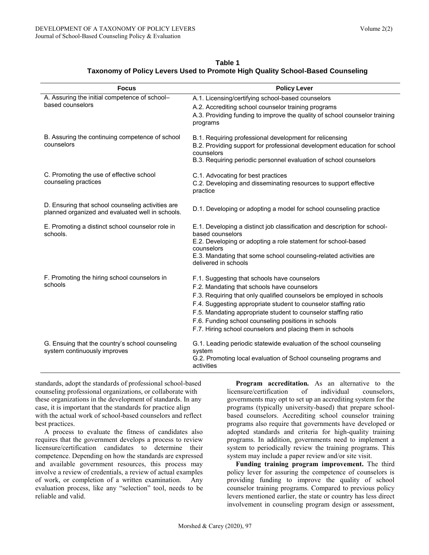| <b>Focus</b>                                                                                          | <b>Policy Lever</b>                                                                                                                                                                                                                                                                                                                                                                                                          |
|-------------------------------------------------------------------------------------------------------|------------------------------------------------------------------------------------------------------------------------------------------------------------------------------------------------------------------------------------------------------------------------------------------------------------------------------------------------------------------------------------------------------------------------------|
| A. Assuring the initial competence of school-<br>based counselors                                     | A.1. Licensing/certifying school-based counselors<br>A.2. Accrediting school counselor training programs<br>A.3. Providing funding to improve the quality of school counselor training<br>programs                                                                                                                                                                                                                           |
| B. Assuring the continuing competence of school<br>counselors                                         | B.1. Requiring professional development for relicensing<br>B.2. Providing support for professional development education for school<br>counselors<br>B.3. Requiring periodic personnel evaluation of school counselors                                                                                                                                                                                                       |
| C. Promoting the use of effective school<br>counseling practices                                      | C.1. Advocating for best practices<br>C.2. Developing and disseminating resources to support effective<br>practice                                                                                                                                                                                                                                                                                                           |
| D. Ensuring that school counseling activities are<br>planned organized and evaluated well in schools. | D.1. Developing or adopting a model for school counseling practice                                                                                                                                                                                                                                                                                                                                                           |
| E. Promoting a distinct school counselor role in<br>schools.                                          | E.1. Developing a distinct job classification and description for school-<br>based counselors<br>E.2. Developing or adopting a role statement for school-based<br>counselors<br>E.3. Mandating that some school counseling-related activities are<br>delivered in schools                                                                                                                                                    |
| F. Promoting the hiring school counselors in<br>schools                                               | F.1. Suggesting that schools have counselors<br>F.2. Mandating that schools have counselors<br>F.3. Requiring that only qualified counselors be employed in schools<br>F.4. Suggesting appropriate student to counselor staffing ratio<br>F.5. Mandating appropriate student to counselor staffing ratio<br>F.6. Funding school counseling positions in schools<br>F.7. Hiring school counselors and placing them in schools |
| G. Ensuing that the country's school counseling<br>system continuously improves                       | G.1. Leading periodic statewide evaluation of the school counseling<br>system<br>G.2. Promoting local evaluation of School counseling programs and<br>activities                                                                                                                                                                                                                                                             |

**Table 1 Taxonomy of Policy Levers Used to Promote High Quality School-Based Counseling**

standards, adopt the standards of professional school-based counseling professional organizations, or collaborate with these organizations in the development of standards. In any case, it is important that the standards for practice align with the actual work of school-based counselors and reflect best practices.

 A process to evaluate the fitness of candidates also requires that the government develops a process to review licensure/certification candidates to determine their competence. Depending on how the standards are expressed and available government resources, this process may involve a review of credentials, a review of actual examples of work, or completion of a written examination. Any evaluation process, like any "selection" tool, needs to be reliable and valid.

 **Program accreditation***.* As an alternative to the licensure/certification of individual counselors, governments may opt to set up an accrediting system for the programs (typically university-based) that prepare schoolbased counselors. Accrediting school counselor training programs also require that governments have developed or adopted standards and criteria for high-quality training programs. In addition, governments need to implement a system to periodically review the training programs. This system may include a paper review and/or site visit.

 **Funding training program improvement.** The third policy lever for assuring the competence of counselors is providing funding to improve the quality of school counselor training programs. Compared to previous policy levers mentioned earlier, the state or country has less direct involvement in counseling program design or assessment,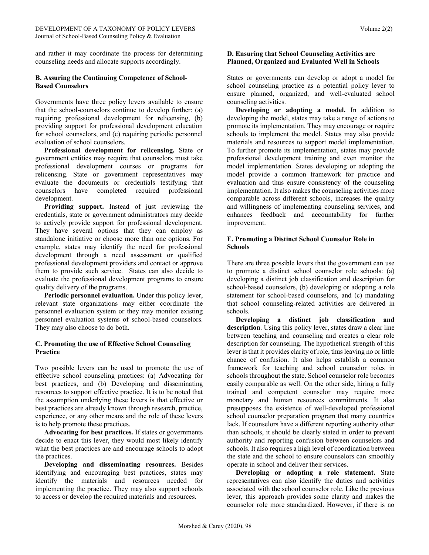and rather it may coordinate the process for determining counseling needs and allocate supports accordingly.

# **B. Assuring the Continuing Competence of School-Based Counselors**

Governments have three policy levers available to ensure that the school-counselors continue to develop further: (a) requiring professional development for relicensing, (b) providing support for professional development education for school counselors, and (c) requiring periodic personnel evaluation of school counselors.

 **Professional development for relicensing***.* State or government entities may require that counselors must take professional development courses or programs for relicensing. State or government representatives may evaluate the documents or credentials testifying that counselors have completed required professional development.

 **Providing support.** Instead of just reviewing the credentials, state or government administrators may decide to actively provide support for professional development. They have several options that they can employ as standalone initiative or choose more than one options. For example, states may identify the need for professional development through a need assessment or qualified professional development providers and contact or approve them to provide such service. States can also decide to evaluate the professional development programs to ensure quality delivery of the programs.

 **Periodic personnel evaluation.** Under this policy lever, relevant state organizations may either coordinate the personnel evaluation system or they may monitor existing personnel evaluation systems of school-based counselors. They may also choose to do both.

# **C. Promoting the use of Effective School Counseling Practice**

Two possible levers can be used to promote the use of effective school counseling practices: (a) Advocating for best practices, and (b) Developing and disseminating resources to support effective practice. It is to be noted that the assumption underlying these levers is that effective or best practices are already known through research, practice, experience, or any other means and the role of these levers is to help promote these practices.

 **Advocating for best practices***.* If states or governments decide to enact this lever, they would most likely identify what the best practices are and encourage schools to adopt the practices.

 **Developing and disseminating resources.** Besides identifying and encouraging best practices, states may identify the materials and resources needed for implementing the practice. They may also support schools to access or develop the required materials and resources.

# **D. Ensuring that School Counseling Activities are Planned, Organized and Evaluated Well in Schools**

States or governments can develop or adopt a model for school counseling practice as a potential policy lever to ensure planned, organized, and well-evaluated school counseling activities.

 **Developing or adopting a model.** In addition to developing the model, states may take a range of actions to promote its implementation. They may encourage or require schools to implement the model. States may also provide materials and resources to support model implementation. To further promote its implementation, states may provide professional development training and even monitor the model implementation. States developing or adopting the model provide a common framework for practice and evaluation and thus ensure consistency of the counseling implementation. It also makes the counseling activities more comparable across different schools, increases the quality and willingness of implementing counseling services, and enhances feedback and accountability for further improvement.

### **E. Promoting a Distinct School Counselor Role in Schools**

There are three possible levers that the government can use to promote a distinct school counselor role schools: (a) developing a distinct job classification and description for school-based counselors, (b) developing or adopting a role statement for school-based counselors, and (c) mandating that school counseling-related activities are delivered in schools.

 **Developing a distinct job classification and description**. Using this policy lever, states draw a clear line between teaching and counseling and creates a clear role description for counseling. The hypothetical strength of this lever is that it provides clarity of role, thus leaving no or little chance of confusion. It also helps establish a common framework for teaching and school counselor roles in schools throughout the state. School counselor role becomes easily comparable as well. On the other side, hiring a fully trained and competent counselor may require more monetary and human resources commitments. It also presupposes the existence of well-developed professional school counselor preparation program that many countries lack. If counselors have a different reporting authority other than schools, it should be clearly stated in order to prevent authority and reporting confusion between counselors and schools. It also requires a high level of coordination between the state and the school to ensure counselors can smoothly operate in school and deliver their services.

**Developing or adopting a role statement.** State representatives can also identify the duties and activities associated with the school counselor role. Like the previous lever, this approach provides some clarity and makes the counselor role more standardized. However, if there is no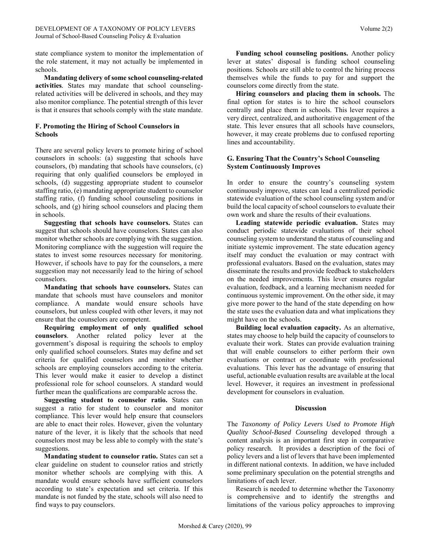state compliance system to monitor the implementation of the role statement, it may not actually be implemented in schools.

 **Mandating delivery of some school counseling-related activities***.* States may mandate that school counselingrelated activities will be delivered in schools, and they may also monitor compliance. The potential strength of this lever is that it ensures that schools comply with the state mandate.

#### **F. Promoting the Hiring of School Counselors in Schools**

There are several policy levers to promote hiring of school counselors in schools: (a) suggesting that schools have counselors, (b) mandating that schools have counselors, (c) requiring that only qualified counselors be employed in schools, (d) suggesting appropriate student to counselor staffing ratio, (e) mandating appropriate student to counselor staffing ratio, (f) funding school counseling positions in schools, and (g) hiring school counselors and placing them in schools.

 **Suggesting that schools have counselors.** States can suggest that schools should have counselors. States can also monitor whether schools are complying with the suggestion. Monitoring compliance with the suggestion will require the states to invest some resources necessary for monitoring. However, if schools have to pay for the counselors, a mere suggestion may not necessarily lead to the hiring of school counselors.

 **Mandating that schools have counselors.** States can mandate that schools must have counselors and monitor compliance. A mandate would ensure schools have counselors, but unless coupled with other levers, it may not ensure that the counselors are competent.

 **Requiring employment of only qualified school counselors**. Another related policy lever at the government's disposal is requiring the schools to employ only qualified school counselors. States may define and set criteria for qualified counselors and monitor whether schools are employing counselors according to the criteria. This lever would make it easier to develop a distinct professional role for school counselors. A standard would further mean the qualifications are comparable across the.

 **Suggesting student to counselor ratio.** States can suggest a ratio for student to counselor and monitor compliance. This lever would help ensure that counselors are able to enact their roles. However, given the voluntary nature of the lever, it is likely that the schools that need counselors most may be less able to comply with the state's suggestions.

 **Mandating student to counselor ratio.** States can set a clear guideline on student to counselor ratios and strictly monitor whether schools are complying with this. A mandate would ensure schools have sufficient counselors according to state's expectation and set criteria. If this mandate is not funded by the state, schools will also need to find ways to pay counselors.

 **Funding school counseling positions.** Another policy lever at states' disposal is funding school counseling positions. Schools are still able to control the hiring process themselves while the funds to pay for and support the counselors come directly from the state.

 **Hiring counselors and placing them in schools.** The final option for states is to hire the school counselors centrally and place them in schools. This lever requires a very direct, centralized, and authoritative engagement of the state. This lever ensures that all schools have counselors, however, it may create problems due to confused reporting lines and accountability.

#### **G. Ensuring That the Country's School Counseling System Continuously Improves**

In order to ensure the country's counseling system continuously improve, states can lead a centralized periodic statewide evaluation of the school counseling system and/or build the local capacity of school counselors to evaluate their own work and share the results of their evaluations.

 **Leading statewide periodic evaluation.** States may conduct periodic statewide evaluations of their school counseling system to understand the status of counseling and initiate systemic improvement. The state education agency itself may conduct the evaluation or may contract with professional evaluators. Based on the evaluation, states may disseminate the results and provide feedback to stakeholders on the needed improvements. This lever ensures regular evaluation, feedback, and a learning mechanism needed for continuous systemic improvement. On the other side, it may give more power to the hand of the state depending on how the state uses the evaluation data and what implications they might have on the schools.

 **Building local evaluation capacity.** As an alternative, states may choose to help build the capacity of counselors to evaluate their work. States can provide evaluation training that will enable counselors to either perform their own evaluations or contract or coordinate with professional evaluations. This lever has the advantage of ensuring that useful, actionable evaluation results are available at the local level. However, it requires an investment in professional development for counselors in evaluation.

#### **Discussion**

The *Taxonomy of Policy Levers Used to Promote High Quality School-Based Counseling* developed through a content analysis is an important first step in comparative policy research. It provides a description of the foci of policy levers and a list of levers that have been implemented in different national contexts. In addition, we have included some preliminary speculation on the potential strengths and limitations of each lever.

 Research is needed to determine whether the Taxonomy is comprehensive and to identify the strengths and limitations of the various policy approaches to improving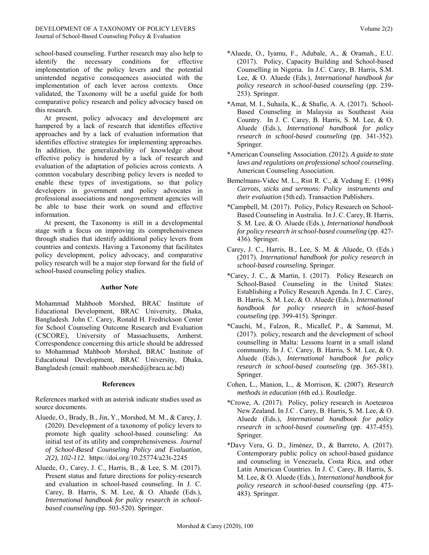school-based counseling. Further research may also help to identify the necessary conditions for effective implementation of the policy levers and the potential unintended negative consequences associated with the implementation of each lever across contexts. Once validated, the Taxonomy will be a useful guide for both comparative policy research and policy advocacy based on this research.

 At present, policy advocacy and development are hampered by a lack of research that identifies effective approaches and by a lack of evaluation information that identifies effective strategies for implementing approaches. In addition, the generalizability of knowledge about effective policy is hindered by a lack of research and evaluation of the adaptation of policies across contexts. A common vocabulary describing policy levers is needed to enable these types of investigations, so that policy developers in government and policy advocates in professional associations and nongovernment agencies will be able to base their work on sound and effective information.

 At present, the Taxonomy is still in a developmental stage with a focus on improving its comprehensiveness through studies that identify additional policy levers from countries and contexts. Having a Taxonomy that facilitates policy development, policy advocacy, and comparative policy research will be a major step forward for the field of school-based counseling policy studies.

#### **Author Note**

Mohammad Mahboob Morshed, BRAC Institute of Educational Development, BRAC University, Dhaka, Bangladesh. John C. Carey, Ronald H. Fredrickson Center for School Counseling Outcome Research and Evaluation (CSCORE), University of Massachusetts, Amherst. Correspondence concerning this article should be addressed to Mohammad Mahboob Morshed, BRAC Institute of Educational Development, BRAC University, Dhaka, Bangladesh (email: mahboob.morshed@bracu.ac.bd)

# **References**

References marked with an asterisk indicate studies used as source documents.

- Aluede, O., Brady, B., Jin, Y., Morshed, M. M., & Carey, J. (2020). Development of a taxonomy of policy levers to promote high quality school-based counseling: An initial test of its utility and comprehensiveness. *Journal of School-Based Counseling Policy and Evaluation, 2(2), 102-112.* <https://doi.org/10.25774/a23t-2245>
- Aluede, O., Carey, J. C., Harris, B., & Lee, S. M. (2017). Present status and future directions for policy-research and evaluation in school-based counseling. In J. C. Carey, B. Harris, S. M. Lee, & O. Aluede (Eds.), *International handbook for policy research in schoolbased counseling* (pp. 503-520). Springer.
- \*Aluede, O., Iyamu, F., Adubale, A., & Oramah., E.U. (2017). Policy, Capacity Building and School-based Counselling in Nigeria. In J.C. Carey, B. Harris, S.M. Lee, & O. Aluede (Eds.), *International handbook for policy research in school-based counseling* (pp. 239- 253). Springer.
- \*Amat, M. I., Suhaila, K., & Shafie, A. A. (2017). School-Based Counseling in Malaysia as Southeast Asia Country. In J. C. Carey, B. Harris, S. M. Lee, & O. Aluede (Eds.), *International handbook for policy research in school-based counseling* (pp. 341-352). Springer.
- \*American Counseling Association. (2012). *A guide to state laws and regulations on professional school counseling*. American Counseling Association.
- Bemelmans-Videc M. L., Rist R. C., & Vedung E. (1998) *Carrots, sticks and sermons: Policy instruments and their evaluation* (5th ed). Transaction Publishers.
- \*Campbell, M. (2017). Policy, Policy Research on School-Based Counseling in Australia. In J. C. Carey, B. Harris, S. M. Lee, & O. Aluede (Eds.), *International handbook for policy research in school-based counseling* (pp. 427- 436). Springer.
- Carey, J. C., Harris, B., Lee, S. M. & Aluede, O. (Eds.) (2017). *International handbook for policy research in school-based counseling.* Springer.
- \*Carey, J. C., & Martin, I. (2017). Policy Research on School-Based Counseling in the United States: Establishing a Policy Research Agenda. In J. C. Carey, B. Harris, S. M. Lee, & O. Aluede (Eds.), *International handbook for policy research in school-based counseling* (pp. 399-415). Springer.
- \*Cauchi, M., Falzon, R., Micallef, P., & Sammut, M. (2017). policy, research and the development of school counselling in Malta: Lessons learnt in a small island community. In J. C. Carey, B. Harris, S. M. Lee, & O. Aluede (Eds.), *International handbook for policy research in school-based counseling* (pp. 365-381). Springer.
- Cohen, L., Manion, L., & Morrison, K. (2007). *Research methods in education* (6th ed.). Routledge.
- \*Crowe, A. (2017). Policy, policy research in Aoetearoa New Zealand. In J.C . Carey, B. Harris, S. M. Lee, & O. Aluede (Eds.), *International handbook for policy research in school-based counseling* (pp. 437-455). Springer.
- \*Davy Vera, G. D., Jiménez, D., & Barreto, A. (2017). Contemporary public policy on school-based guidance and counseling in Venezuela, Costa Rica, and other Latin American Countries. In J. C. Carey, B. Harris, S. M. Lee, & O. Aluede (Eds.), *International handbook for policy research in school-based counseling* (pp. 473- 483). Springer.